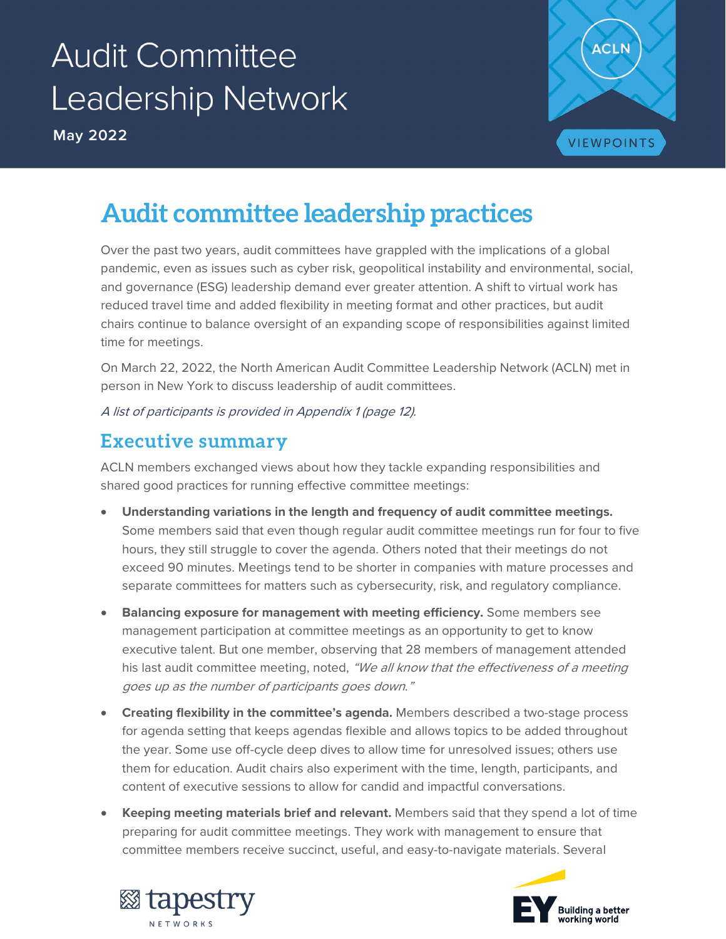# **Audit Committee** Leadership Network

**May 2022**



## **Audit committee leadership practices**

Over the past two years, audit committees have grappled with the implications of a global pandemic, even as issues such as cyber risk, geopolitical instability and environmental, social, and governance (ESG) leadership demand ever greater attention. A shift to virtual work has reduced travel time and added flexibility in meeting format and other practices, but audit chairs continue to balance oversight of an expanding scope of responsibilities against limited time for meetings.

On March 22, 2022, the North American Audit Committee Leadership Network (ACLN) met in person in New York to discuss leadership of audit committees.

A list of participants is provided in Appendix 1 (page 12).

## **Executive summary**

ACLN members exchanged views about how they tackle expanding responsibilities and shared good practices for running effective committee meetings:

- **Understanding variations in the length and frequency of audit committee meetings.** Some members said that even though regular audit committee meetings run for four to five hours, they still struggle to cover the agenda. Others noted that their meetings do not exceed 90 minutes. Meetings tend to be shorter in companies with mature processes and separate committees for matters such as cybersecurity, risk, and regulatory compliance.
- **Balancing exposure for management with meeting efficiency.** Some members see management participation at committee meetings as an opportunity to get to know executive talent. But one member, observing that 28 members of management attended his last audit committee meeting, noted, "We all know that the effectiveness of a meeting goes up as the number of participants goes down."
- **Creating flexibility in the committee's agenda.** Members described a two-stage process for agenda setting that keeps agendas flexible and allows topics to be added throughout the year. Some use off-cycle deep dives to allow time for unresolved issues; others use them for education. Audit chairs also experiment with the time, length, participants, and content of executive sessions to allow for candid and impactful conversations.
- **Keeping meeting materials brief and relevant.** Members said that they spend a lot of time preparing for audit committee meetings. They work with management to ensure that committee members receive succinct, useful, and easy-to-navigate materials. Several



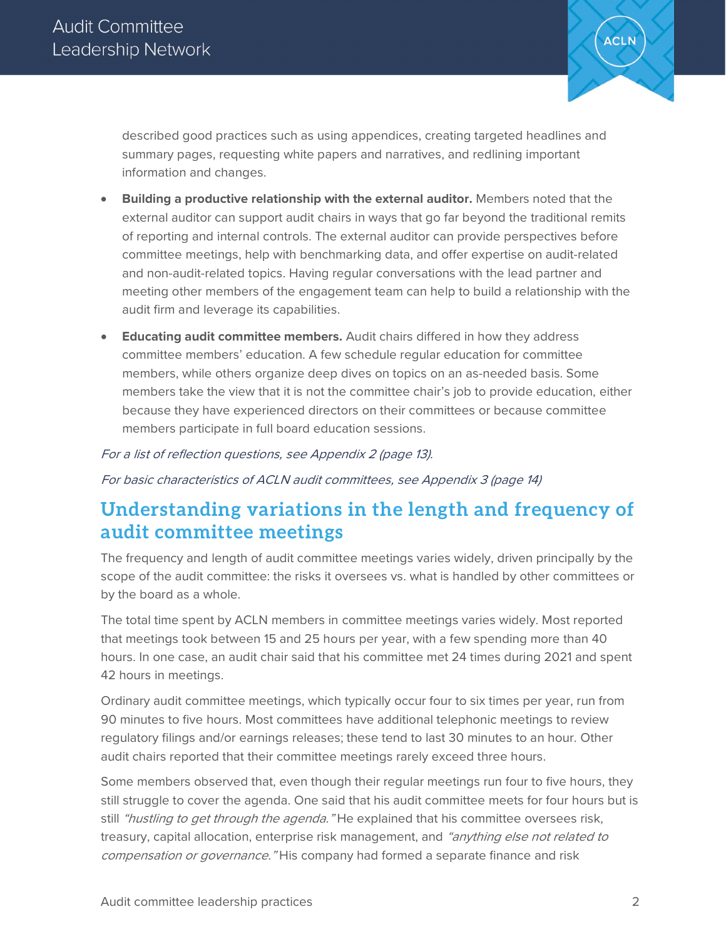

described good practices such as using appendices, creating targeted headlines and summary pages, requesting white papers and narratives, and redlining important information and changes.

- **Building a productive relationship with the external auditor.** Members noted that the external auditor can support audit chairs in ways that go far beyond the traditional remits of reporting and internal controls. The external auditor can provide perspectives before committee meetings, help with benchmarking data, and offer expertise on audit-related and non-audit-related topics. Having regular conversations with the lead partner and meeting other members of the engagement team can help to build a relationship with the audit firm and leverage its capabilities.
- **Educating audit committee members.** Audit chairs differed in how they address committee members' education. A few schedule regular education for committee members, while others organize deep dives on topics on an as-needed basis. Some members take the view that it is not the committee chair's job to provide education, either because they have experienced directors on their committees or because committee members participate in full board education sessions.

#### For a list of reflection questions, see Appendix 2 (page 13).

For basic characteristics of ACLN audit committees, see Appendix 3 (page 14)

## **Understanding variations in the length and frequency of audit committee meetings**

The frequency and length of audit committee meetings varies widely, driven principally by the scope of the audit committee: the risks it oversees vs. what is handled by other committees or by the board as a whole.

The total time spent by ACLN members in committee meetings varies widely. Most reported that meetings took between 15 and 25 hours per year, with a few spending more than 40 hours. In one case, an audit chair said that his committee met 24 times during 2021 and spent 42 hours in meetings.

Ordinary audit committee meetings, which typically occur four to six times per year, run from 90 minutes to five hours. Most committees have additional telephonic meetings to review regulatory filings and/or earnings releases; these tend to last 30 minutes to an hour. Other audit chairs reported that their committee meetings rarely exceed three hours.

Some members observed that, even though their regular meetings run four to five hours, they still struggle to cover the agenda. One said that his audit committee meets for four hours but is still "hustling to get through the agenda." He explained that his committee oversees risk, treasury, capital allocation, enterprise risk management, and "anything else not related to compensation or governance. "His company had formed a separate finance and risk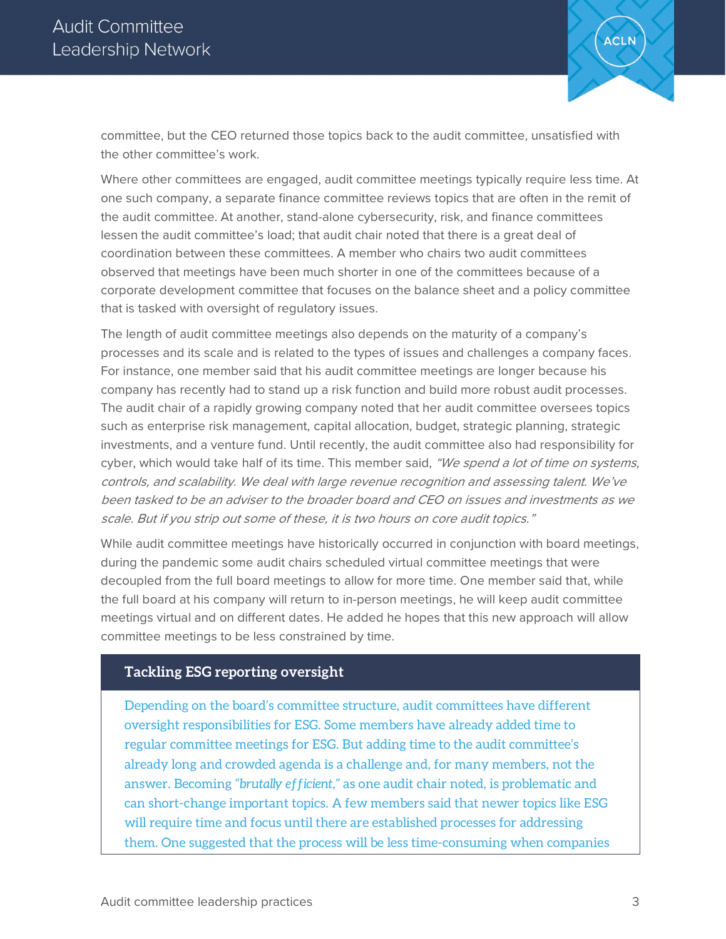

committee, but the CEO returned those topics back to the audit committee, unsatisfied with the other committee's work.

Where other committees are engaged, audit committee meetings typically require less time. At one such company, a separate finance committee reviews topics that are often in the remit of the audit committee. At another, stand-alone cybersecurity, risk, and finance committees lessen the audit committee's load; that audit chair noted that there is a great deal of coordination between these committees. A member who chairs two audit committees observed that meetings have been much shorter in one of the committees because of a corporate development committee that focuses on the balance sheet and a policy committee that is tasked with oversight of regulatory issues.

The length of audit committee meetings also depends on the maturity of a company's processes and its scale and is related to the types of issues and challenges a company faces. For instance, one member said that his audit committee meetings are longer because his company has recently had to stand up a risk function and build more robust audit processes. The audit chair of a rapidly growing company noted that her audit committee oversees topics such as enterprise risk management, capital allocation, budget, strategic planning, strategic investments, and a venture fund. Until recently, the audit committee also had responsibility for cyber, which would take half of its time. This member said, "We spend a lot of time on systems, controls, and scalability. We deal with large revenue recognition and assessing talent. We've been tasked to be an adviser to the broader board and CEO on issues and investments as we scale. But if you strip out some of these, it is two hours on core audit topics."

While audit committee meetings have historically occurred in conjunction with board meetings, during the pandemic some audit chairs scheduled virtual committee meetings that were decoupled from the full board meetings to allow for more time. One member said that, while the full board at his company will return to in-person meetings, he will keep audit committee meetings virtual and on different dates. He added he hopes that this new approach will allow committee meetings to be less constrained by time.

#### **Tackling ESG reporting oversight**

Depending on the board's committee structure, audit committees have different oversight responsibilities for ESG. Some members have already added time to regular committee meetings for ESG. But adding time to the audit committee's already long and crowded agenda is a challenge and, for many members, not the answer. Becoming *"brutally efficient,"* as one audit chair noted, is problematic and can short-change important topics. A few members said that newer topics like ESG will require time and focus until there are established processes for addressing them. One suggested that the process will be less time-consuming when companies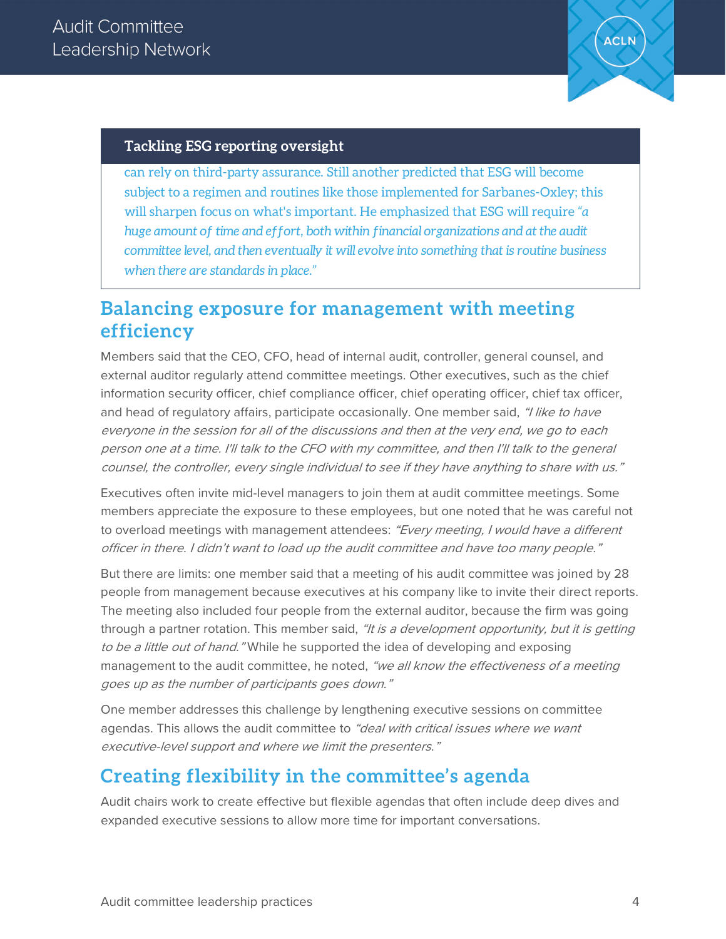

#### **Tackling ESG reporting oversight**

can rely on third-party assurance. Still another predicted that ESG will become subject to a regimen and routines like those implemented for Sarbanes-Oxley; this will sharpen focus on what's important. He emphasized that ESG will require *"a huge amount of time and effort, both within financial organizations and at the audit committee level, and then eventually it will evolve into something that is routine business when there are standards in place."*

#### **Balancing exposure for management with meeting efficiency**

Members said that the CEO, CFO, head of internal audit, controller, general counsel, and external auditor regularly attend committee meetings. Other executives, such as the chief information security officer, chief compliance officer, chief operating officer, chief tax officer, and head of regulatory affairs, participate occasionally. One member said, "I like to have everyone in the session for all of the discussions and then at the very end, we go to each person one at a time. I'll talk to the CFO with my committee, and then I'll talk to the general counsel, the controller, every single individual to see if they have anything to share with us."

Executives often invite mid-level managers to join them at audit committee meetings. Some members appreciate the exposure to these employees, but one noted that he was careful not to overload meetings with management attendees: "Every meeting, I would have a different officer in there. I didn't want to load up the audit committee and have too many people."

But there are limits: one member said that a meeting of his audit committee was joined by 28 people from management because executives at his company like to invite their direct reports. The meeting also included four people from the external auditor, because the firm was going through a partner rotation. This member said, "It is a development opportunity, but it is getting to be a little out of hand." While he supported the idea of developing and exposing management to the audit committee, he noted, "we all know the effectiveness of a meeting goes up as the number of participants goes down."

One member addresses this challenge by lengthening executive sessions on committee agendas. This allows the audit committee to "deal with critical issues where we want executive-level support and where we limit the presenters."

## **Creating flexibility in the committee's agenda**

Audit chairs work to create effective but flexible agendas that often include deep dives and expanded executive sessions to allow more time for important conversations.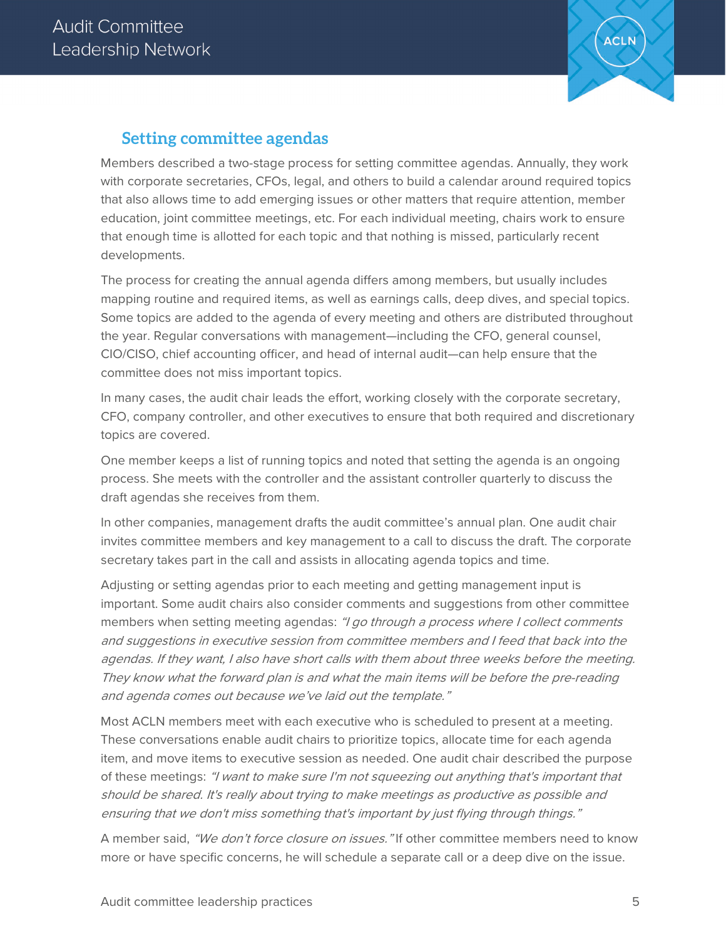

#### **Setting committee agendas**

Members described a two-stage process for setting committee agendas. Annually, they work with corporate secretaries, CFOs, legal, and others to build a calendar around required topics that also allows time to add emerging issues or other matters that require attention, member education, joint committee meetings, etc. For each individual meeting, chairs work to ensure that enough time is allotted for each topic and that nothing is missed, particularly recent developments.

The process for creating the annual agenda differs among members, but usually includes mapping routine and required items, as well as earnings calls, deep dives, and special topics. Some topics are added to the agenda of every meeting and others are distributed throughout the year. Regular conversations with management—including the CFO, general counsel, CIO/CISO, chief accounting officer, and head of internal audit—can help ensure that the committee does not miss important topics.

In many cases, the audit chair leads the effort, working closely with the corporate secretary, CFO, company controller, and other executives to ensure that both required and discretionary topics are covered.

One member keeps a list of running topics and noted that setting the agenda is an ongoing process. She meets with the controller and the assistant controller quarterly to discuss the draft agendas she receives from them.

In other companies, management drafts the audit committee's annual plan. One audit chair invites committee members and key management to a call to discuss the draft. The corporate secretary takes part in the call and assists in allocating agenda topics and time.

Adjusting or setting agendas prior to each meeting and getting management input is important. Some audit chairs also consider comments and suggestions from other committee members when setting meeting agendas: "I go through a process where I collect comments and suggestions in executive session from committee members and I feed that back into the agendas. If they want, I also have short calls with them about three weeks before the meeting. They know what the forward plan is and what the main items will be before the pre-reading and agenda comes out because we've laid out the template."

Most ACLN members meet with each executive who is scheduled to present at a meeting. These conversations enable audit chairs to prioritize topics, allocate time for each agenda item, and move items to executive session as needed. One audit chair described the purpose of these meetings: "I want to make sure I'm not squeezing out anything that's important that should be shared. It's really about trying to make meetings as productive as possible and ensuring that we don't miss something that's important by just flying through things."

A member said, "We don't force closure on issues." If other committee members need to know more or have specific concerns, he will schedule a separate call or a deep dive on the issue.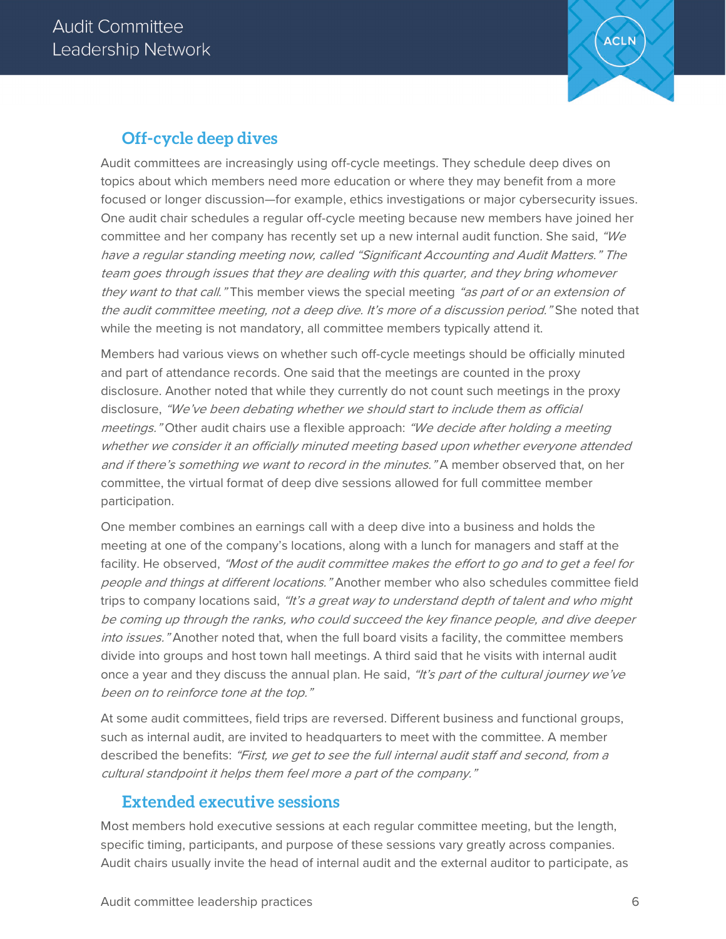

#### **Off-cycle deep dives**

Audit committees are increasingly using off-cycle meetings. They schedule deep dives on topics about which members need more education or where they may benefit from a more focused or longer discussion—for example, ethics investigations or major cybersecurity issues. One audit chair schedules a regular off-cycle meeting because new members have joined her committee and her company has recently set up a new internal audit function. She said, "We have a regular standing meeting now, called "Significant Accounting and Audit Matters." The team goes through issues that they are dealing with this quarter, and they bring whomever they want to that call." This member views the special meeting "as part of or an extension of the audit committee meeting, not a deep dive. It's more of a discussion period." She noted that while the meeting is not mandatory, all committee members typically attend it.

Members had various views on whether such off-cycle meetings should be officially minuted and part of attendance records. One said that the meetings are counted in the proxy disclosure. Another noted that while they currently do not count such meetings in the proxy disclosure, "We've been debating whether we should start to include them as official meetings." Other audit chairs use a flexible approach: "We decide after holding a meeting whether we consider it an officially minuted meeting based upon whether everyone attended and if there's something we want to record in the minutes." A member observed that, on her committee, the virtual format of deep dive sessions allowed for full committee member participation.

One member combines an earnings call with a deep dive into a business and holds the meeting at one of the company's locations, along with a lunch for managers and staff at the facility. He observed, "Most of the audit committee makes the effort to go and to get a feel for people and things at different locations." Another member who also schedules committee field trips to company locations said, "It's a great way to understand depth of talent and who might be coming up through the ranks, who could succeed the key finance people, and dive deeper into issues." Another noted that, when the full board visits a facility, the committee members divide into groups and host town hall meetings. A third said that he visits with internal audit once a year and they discuss the annual plan. He said, "It's part of the cultural journey we've been on to reinforce tone at the top."

At some audit committees, field trips are reversed. Different business and functional groups, such as internal audit, are invited to headquarters to meet with the committee. A member described the benefits: "First, we get to see the full internal audit staff and second, from a cultural standpoint it helps them feel more a part of the company."

#### **Extended executive sessions**

Most members hold executive sessions at each regular committee meeting, but the length, specific timing, participants, and purpose of these sessions vary greatly across companies. Audit chairs usually invite the head of internal audit and the external auditor to participate, as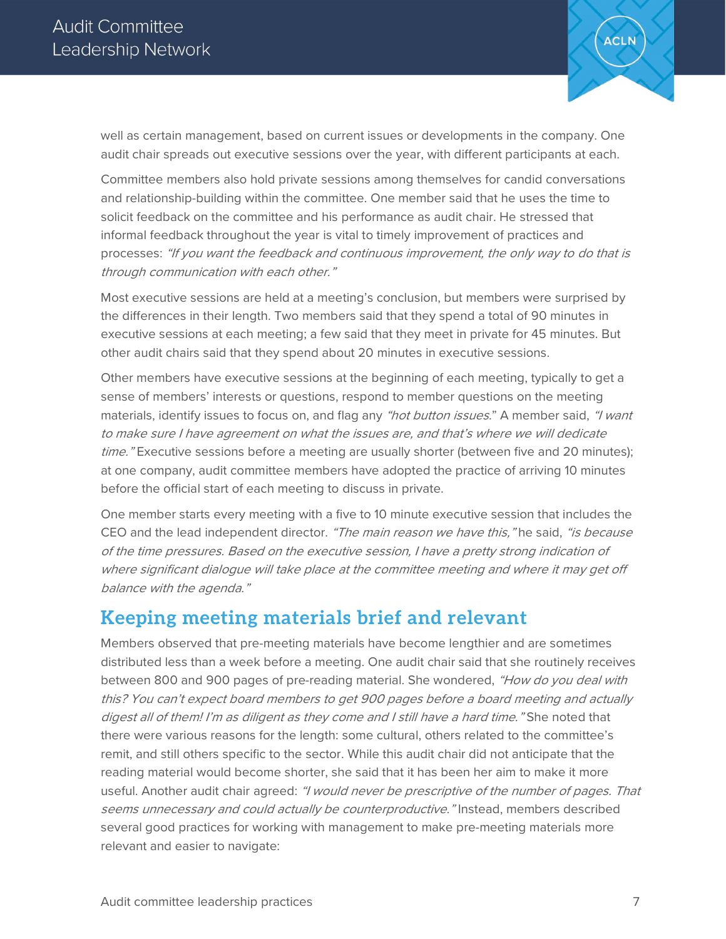

well as certain management, based on current issues or developments in the company. One audit chair spreads out executive sessions over the year, with different participants at each.

Committee members also hold private sessions among themselves for candid conversations and relationship-building within the committee. One member said that he uses the time to solicit feedback on the committee and his performance as audit chair. He stressed that informal feedback throughout the year is vital to timely improvement of practices and processes: "If you want the feedback and continuous improvement, the only way to do that is through communication with each other."

Most executive sessions are held at a meeting's conclusion, but members were surprised by the differences in their length. Two members said that they spend a total of 90 minutes in executive sessions at each meeting; a few said that they meet in private for 45 minutes. But other audit chairs said that they spend about 20 minutes in executive sessions.

Other members have executive sessions at the beginning of each meeting, typically to get a sense of members' interests or questions, respond to member questions on the meeting materials, identify issues to focus on, and flag any "hot button issues." A member said, "I want to make sure I have agreement on what the issues are, and that's where we will dedicate time." Executive sessions before a meeting are usually shorter (between five and 20 minutes); at one company, audit committee members have adopted the practice of arriving 10 minutes before the official start of each meeting to discuss in private.

One member starts every meeting with a five to 10 minute executive session that includes the CEO and the lead independent director. "The main reason we have this," he said, "is because of the time pressures. Based on the executive session, I have a pretty strong indication of where significant dialogue will take place at the committee meeting and where it may get off balance with the agenda."

## **Keeping meeting materials brief and relevant**

Members observed that pre-meeting materials have become lengthier and are sometimes distributed less than a week before a meeting. One audit chair said that she routinely receives between 800 and 900 pages of pre-reading material. She wondered, "How do you deal with this? You can't expect board members to get 900 pages before a board meeting and actually digest all of them! I'm as diligent as they come and I still have a hard time." She noted that there were various reasons for the length: some cultural, others related to the committee's remit, and still others specific to the sector. While this audit chair did not anticipate that the reading material would become shorter, she said that it has been her aim to make it more useful. Another audit chair agreed: "I would never be prescriptive of the number of pages. That seems unnecessary and could actually be counterproductive." Instead, members described several good practices for working with management to make pre-meeting materials more relevant and easier to navigate: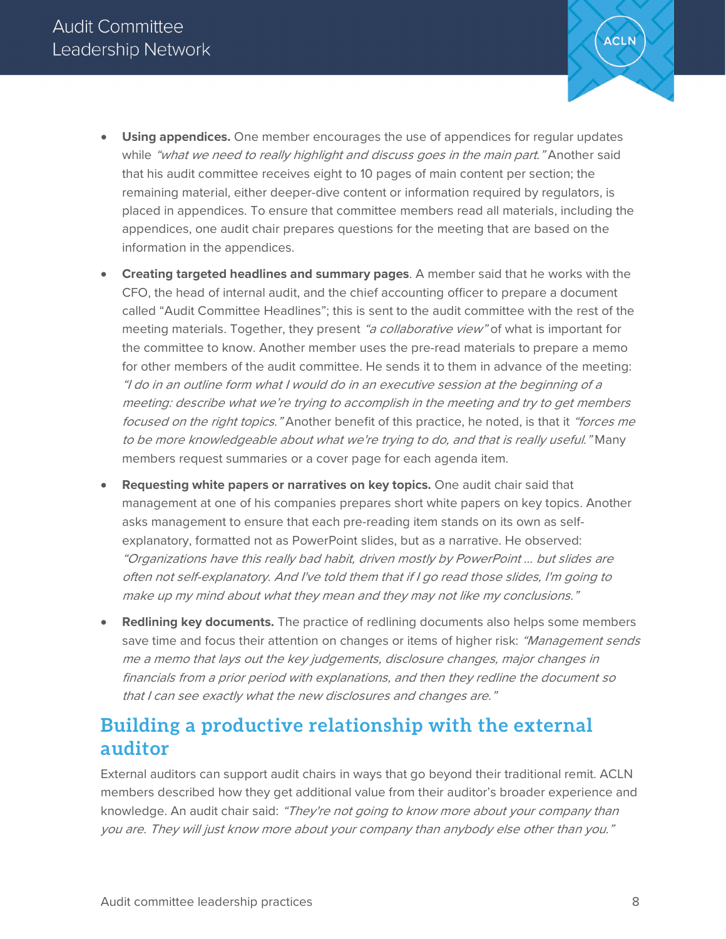

- **Using appendices.** One member encourages the use of appendices for regular updates while "what we need to really highlight and discuss goes in the main part." Another said that his audit committee receives eight to 10 pages of main content per section; the remaining material, either deeper-dive content or information required by regulators, is placed in appendices. To ensure that committee members read all materials, including the appendices, one audit chair prepares questions for the meeting that are based on the information in the appendices.
- **Creating targeted headlines and summary pages**. A member said that he works with the CFO, the head of internal audit, and the chief accounting officer to prepare a document called "Audit Committee Headlines"; this is sent to the audit committee with the rest of the meeting materials. Together, they present "a collaborative view" of what is important for the committee to know. Another member uses the pre-read materials to prepare a memo for other members of the audit committee. He sends it to them in advance of the meeting: "I do in an outline form what I would do in an executive session at the beginning of a meeting: describe what we're trying to accomplish in the meeting and try to get members focused on the right topics." Another benefit of this practice, he noted, is that it "forces me to be more knowledgeable about what we're trying to do, and that is really useful." Many members request summaries or a cover page for each agenda item.
- **Requesting white papers or narratives on key topics.** One audit chair said that management at one of his companies prepares short white papers on key topics. Another asks management to ensure that each pre-reading item stands on its own as selfexplanatory, formatted not as PowerPoint slides, but as a narrative. He observed: "Organizations have this really bad habit, driven mostly by PowerPoint … but slides are often not self-explanatory. And I've told them that if I go read those slides, I'm going to make up my mind about what they mean and they may not like my conclusions."
- **Redlining key documents.** The practice of redlining documents also helps some members save time and focus their attention on changes or items of higher risk: "Management sends me a memo that lays out the key judgements, disclosure changes, major changes in financials from a prior period with explanations, and then they redline the document so that I can see exactly what the new disclosures and changes are."

## **Building a productive relationship with the external auditor**

External auditors can support audit chairs in ways that go beyond their traditional remit. ACLN members described how they get additional value from their auditor's broader experience and knowledge. An audit chair said: "They're not going to know more about your company than you are. They will just know more about your company than anybody else other than you."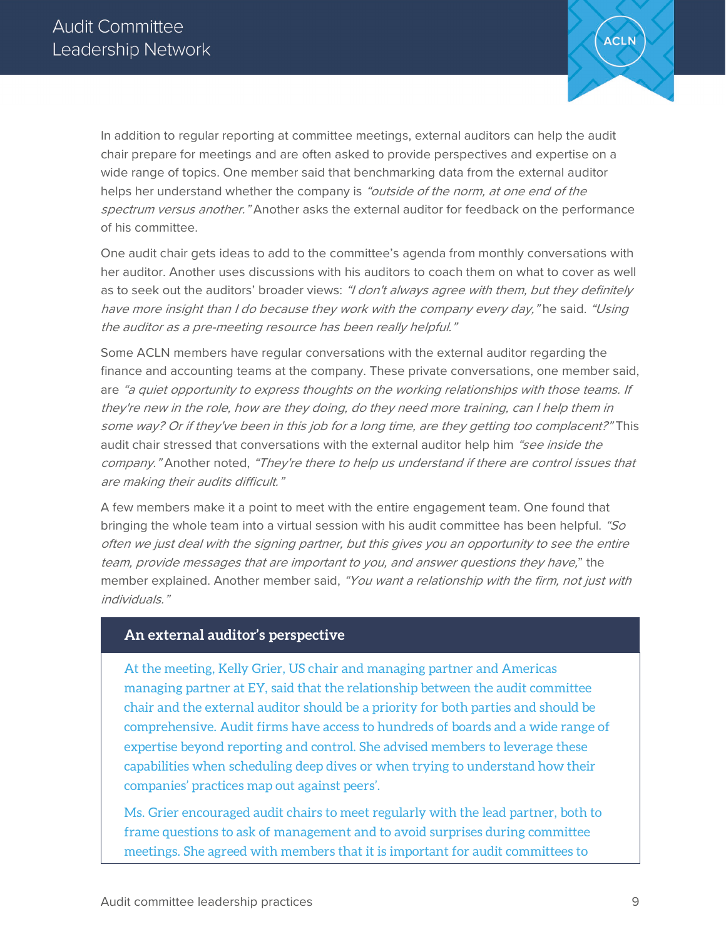

In addition to regular reporting at committee meetings, external auditors can help the audit chair prepare for meetings and are often asked to provide perspectives and expertise on a wide range of topics. One member said that benchmarking data from the external auditor helps her understand whether the company is "outside of the norm, at one end of the spectrum versus another." Another asks the external auditor for feedback on the performance of his committee.

One audit chair gets ideas to add to the committee's agenda from monthly conversations with her auditor. Another uses discussions with his auditors to coach them on what to cover as well as to seek out the auditors' broader views: "I don't always agree with them, but they definitely have more insight than I do because they work with the company every day," he said. "Using the auditor as a pre-meeting resource has been really helpful."

Some ACLN members have regular conversations with the external auditor regarding the finance and accounting teams at the company. These private conversations, one member said, are "a quiet opportunity to express thoughts on the working relationships with those teams. If they're new in the role, how are they doing, do they need more training, can I help them in some way? Or if they've been in this job for a long time, are they getting too complacent?" This audit chair stressed that conversations with the external auditor help him "see inside the company." Another noted, "They're there to help us understand if there are control issues that are making their audits difficult."

A few members make it a point to meet with the entire engagement team. One found that bringing the whole team into a virtual session with his audit committee has been helpful. "So often we just deal with the signing partner, but this gives you an opportunity to see the entire team, provide messages that are important to you, and answer questions they have," the member explained. Another member said, "You want a relationship with the firm, not just with individuals."

#### **An external auditor's perspective**

At the meeting, Kelly Grier, US chair and managing partner and Americas managing partner at EY, said that the relationship between the audit committee chair and the external auditor should be a priority for both parties and should be comprehensive. Audit firms have access to hundreds of boards and a wide range of expertise beyond reporting and control. She advised members to leverage these capabilities when scheduling deep dives or when trying to understand how their companies' practices map out against peers'.

Ms. Grier encouraged audit chairs to meet regularly with the lead partner, both to frame questions to ask of management and to avoid surprises during committee meetings. She agreed with members that it is important for audit committees to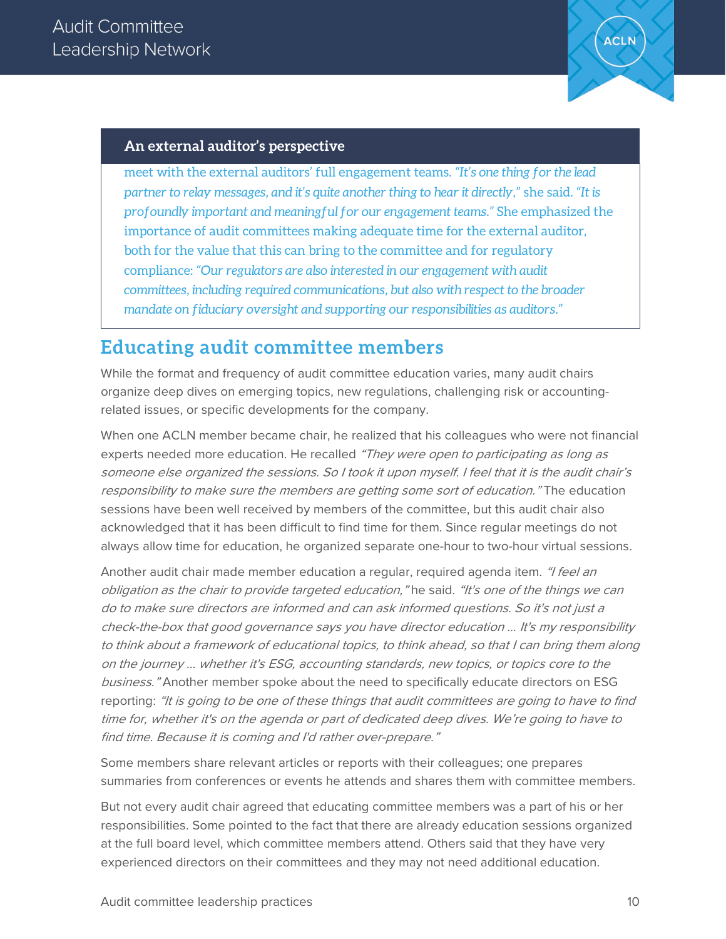

#### **An external auditor's perspective**

meet with the external auditors' full engagement teams. *"It's one thing for the lead partner to relay messages, and it's quite another thing to hear it directly*," she said*. "It is profoundly important and meaningful for our engagement teams."* She emphasized the importance of audit committees making adequate time for the external auditor, both for the value that this can bring to the committee and for regulatory compliance: *"Our regulators are also interested in our engagement with audit committees, including required communications, but also with respect to the broader mandate on fiduciary oversight and supporting our responsibilities as auditors."*

#### **Educating audit committee members**

While the format and frequency of audit committee education varies, many audit chairs organize deep dives on emerging topics, new regulations, challenging risk or accountingrelated issues, or specific developments for the company.

When one ACLN member became chair, he realized that his colleagues who were not financial experts needed more education. He recalled "They were open to participating as long as someone else organized the sessions. So I took it upon myself. I feel that it is the audit chair's responsibility to make sure the members are getting some sort of education." The education sessions have been well received by members of the committee, but this audit chair also acknowledged that it has been difficult to find time for them. Since regular meetings do not always allow time for education, he organized separate one-hour to two-hour virtual sessions.

Another audit chair made member education a regular, required agenda item. "I feel an obligation as the chair to provide targeted education," he said. "It's one of the things we can do to make sure directors are informed and can ask informed questions. So it's not just a check-the-box that good governance says you have director education … It's my responsibility to think about a framework of educational topics, to think ahead, so that I can bring them along on the journey … whether it's ESG, accounting standards, new topics, or topics core to the business." Another member spoke about the need to specifically educate directors on ESG reporting: "It is going to be one of these things that audit committees are going to have to find time for, whether it's on the agenda or part of dedicated deep dives. We're going to have to find time. Because it is coming and I'd rather over-prepare."

Some members share relevant articles or reports with their colleagues; one prepares summaries from conferences or events he attends and shares them with committee members.

But not every audit chair agreed that educating committee members was a part of his or her responsibilities. Some pointed to the fact that there are already education sessions organized at the full board level, which committee members attend. Others said that they have very experienced directors on their committees and they may not need additional education.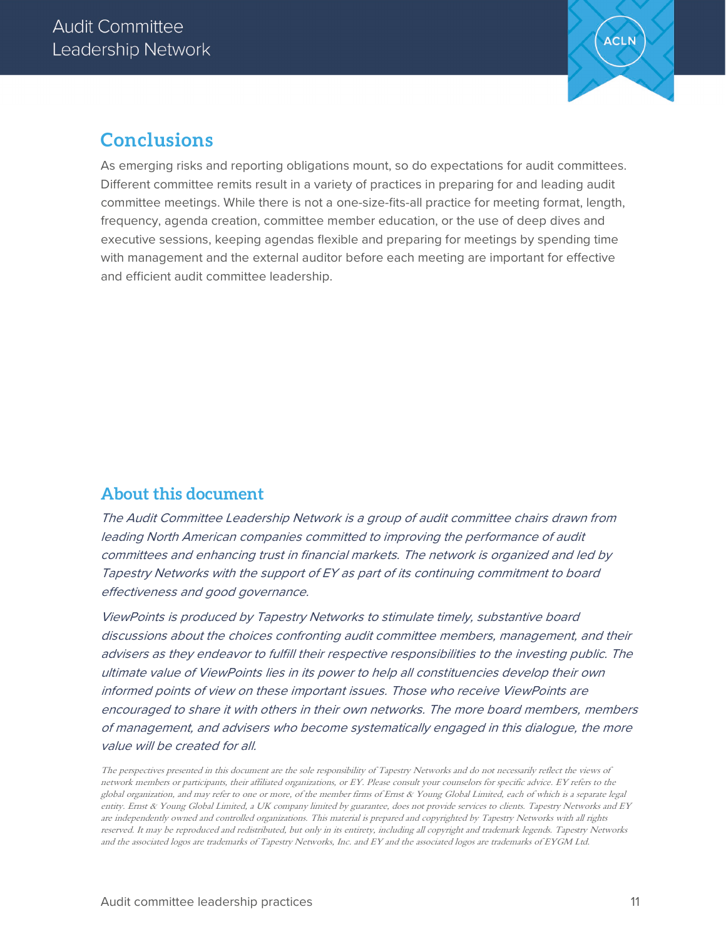

#### **Conclusions**

As emerging risks and reporting obligations mount, so do expectations for audit committees. Different committee remits result in a variety of practices in preparing for and leading audit committee meetings. While there is not a one-size-fits-all practice for meeting format, length, frequency, agenda creation, committee member education, or the use of deep dives and executive sessions, keeping agendas flexible and preparing for meetings by spending time with management and the external auditor before each meeting are important for effective and efficient audit committee leadership.

#### **About this document**

The Audit Committee Leadership Network is a group of audit committee chairs drawn from leading North American companies committed to improving the performance of audit committees and enhancing trust in financial markets. The network is organized and led by Tapestry Networks with the support of EY as part of its continuing commitment to board effectiveness and good governance.

ViewPoints is produced by Tapestry Networks to stimulate timely, substantive board discussions about the choices confronting audit committee members, management, and their advisers as they endeavor to fulfill their respective responsibilities to the investing public. The ultimate value of ViewPoints lies in its power to help all constituencies develop their own informed points of view on these important issues. Those who receive ViewPoints are encouraged to share it with others in their own networks. The more board members, members of management, and advisers who become systematically engaged in this dialogue, the more value will be created for all.

The perspectives presented in this document are the sole responsibility of Tapestry Networks and do not necessarily reflect the views of network members or participants, their affiliated organizations, or EY. Please consult your counselors for specific advice. EY refers to the global organization, and may refer to one or more, of the member firms of Ernst & Young Global Limited, each of which is a separate legal entity. Ernst & Young Global Limited, a UK company limited by guarantee, does not provide services to clients. Tapestry Networks and EY are independently owned and controlled organizations. This material is prepared and copyrighted by Tapestry Networks with all rights reserved. It may be reproduced and redistributed, but only in its entirety, including all copyright and trademark legends. Tapestry Networks and the associated logos are trademarks of Tapestry Networks, Inc. and EY and the associated logos are trademarks of EYGM Ltd.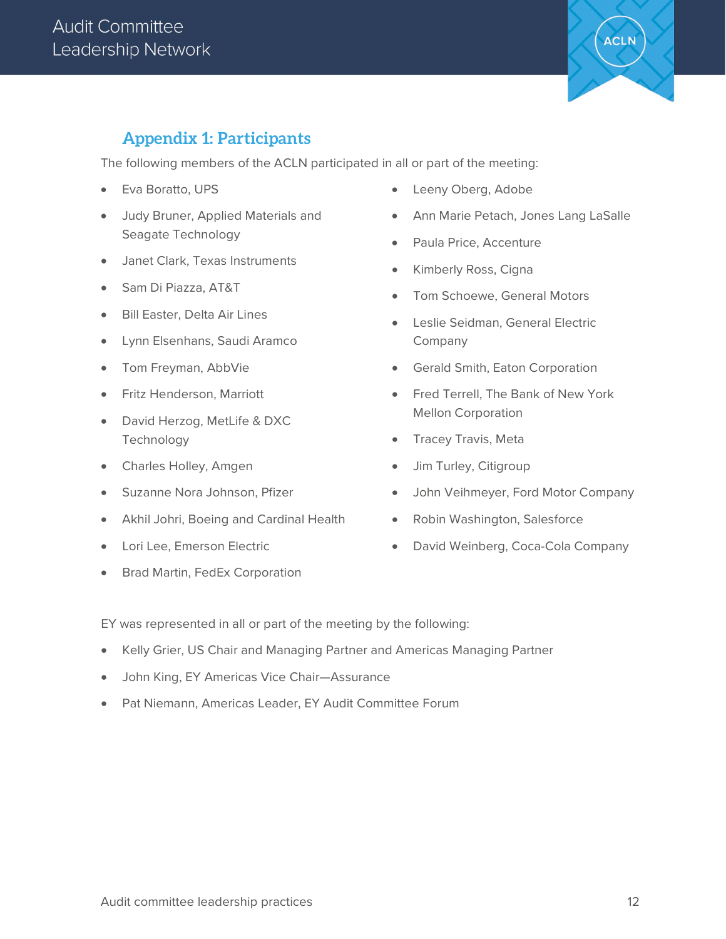

#### **Appendix 1: Participants**

The following members of the ACLN participated in all or part of the meeting:

- Eva Boratto, UPS
- Judy Bruner, Applied Materials and Seagate Technology
- Janet Clark, Texas Instruments
- Sam Di Piazza, AT&T
- Bill Easter, Delta Air Lines
- Lynn Elsenhans, Saudi Aramco
- Tom Freyman, AbbVie
- Fritz Henderson, Marriott
- David Herzog, MetLife & DXC **Technology**
- Charles Holley, Amgen
- Suzanne Nora Johnson, Pfizer
- Akhil Johri, Boeing and Cardinal Health
- Lori Lee, Emerson Electric
- Brad Martin, FedEx Corporation
- Leeny Oberg, Adobe
- Ann Marie Petach, Jones Lang LaSalle
- Paula Price, Accenture
- Kimberly Ross, Cigna
- Tom Schoewe, General Motors
- Leslie Seidman, General Electric Company
- Gerald Smith, Eaton Corporation
- Fred Terrell, The Bank of New York Mellon Corporation
- Tracey Travis, Meta
- Jim Turley, Citigroup
- John Veihmeyer, Ford Motor Company
- Robin Washington, Salesforce
- David Weinberg, Coca-Cola Company

EY was represented in all or part of the meeting by the following:

- Kelly Grier, US Chair and Managing Partner and Americas Managing Partner
- John King, EY Americas Vice Chair—Assurance
- Pat Niemann, Americas Leader, EY Audit Committee Forum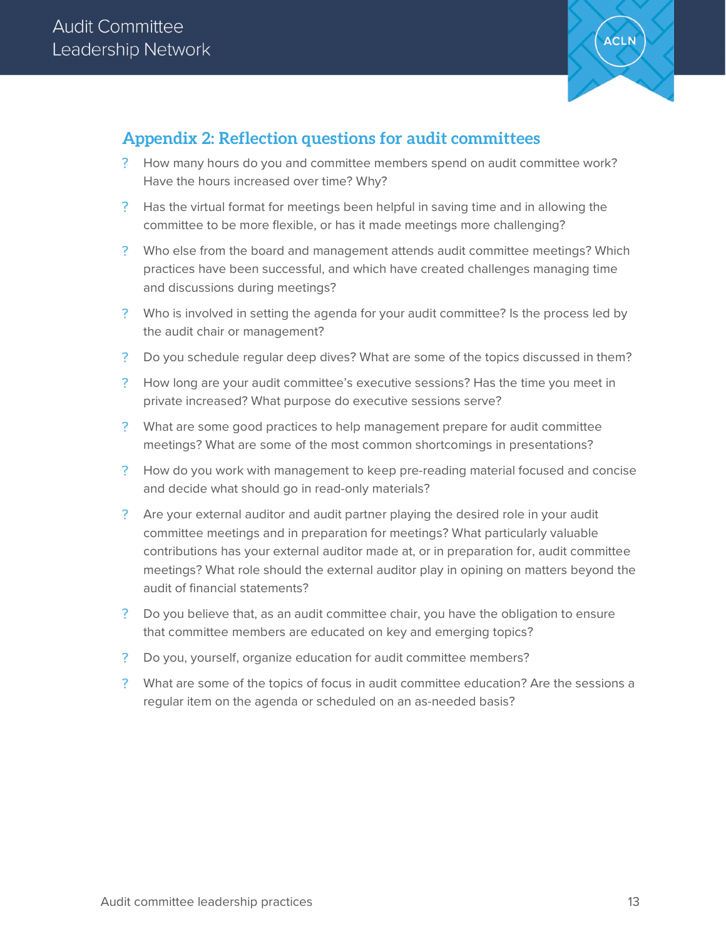

#### **Appendix 2: Reflection questions for audit committees**

- How many hours do you and committee members spend on audit committee work? Have the hours increased over time? Why?
- Has the virtual format for meetings been helpful in saving time and in allowing the committee to be more flexible, or has it made meetings more challenging?
- Who else from the board and management attends audit committee meetings? Which practices have been successful, and which have created challenges managing time and discussions during meetings?
- ? Who is involved in setting the agenda for your audit committee? Is the process led by the audit chair or management?
- Do you schedule regular deep dives? What are some of the topics discussed in them?
- ? How long are your audit committee's executive sessions? Has the time you meet in private increased? What purpose do executive sessions serve?
- What are some good practices to help management prepare for audit committee meetings? What are some of the most common shortcomings in presentations?
- How do you work with management to keep pre-reading material focused and concise and decide what should go in read-only materials?
- Are your external auditor and audit partner playing the desired role in your audit committee meetings and in preparation for meetings? What particularly valuable contributions has your external auditor made at, or in preparation for, audit committee meetings? What role should the external auditor play in opining on matters beyond the audit of financial statements?
- Do you believe that, as an audit committee chair, you have the obligation to ensure that committee members are educated on key and emerging topics?
- ? Do you, yourself, organize education for audit committee members?
- What are some of the topics of focus in audit committee education? Are the sessions a regular item on the agenda or scheduled on an as-needed basis?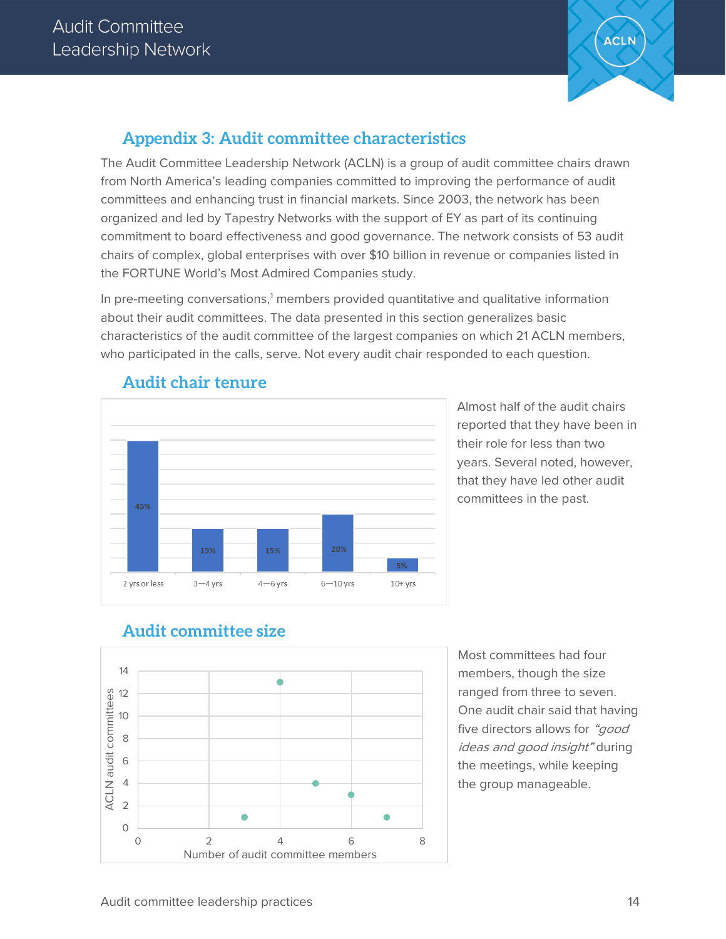

#### **Appendix 3: Audit committee characteristics**

The Audit Committee Leadership Network (ACLN) is a group of audit committee chairs drawn from North America's leading companies committed to improving the performance of audit committees and enhancing trust in financial markets. Since 2003, the network has been organized and led by Tapestry Networks with the support of EY as part of its continuing commitment to board effectiveness and good governance. The network consists of 53 audit chairs of complex, global enterprises with over \$10 billion in revenue or companies listed in the FORTUNE World's Most Admired Companies study.

In pre-meeting conversations, $1$  members provided quantitative and qualitative information about their audit committees. The data presented in this section generalizes basic characteristics of the audit committee of the largest companies on which 21 ACLN members, who participated in the calls, serve. Not every audit chair responded to each question.



#### **Audit chair tenure**

Almost half of the audit chairs reported that they have been in their role for less than two years. Several noted, however, that they have led other audit committees in the past.

#### **Audit committee size**



Most committees had four members, though the size ranged from three to seven. One audit chair said that having five directors allows for "good" ideas and good insight" during the meetings, while keeping the group manageable.